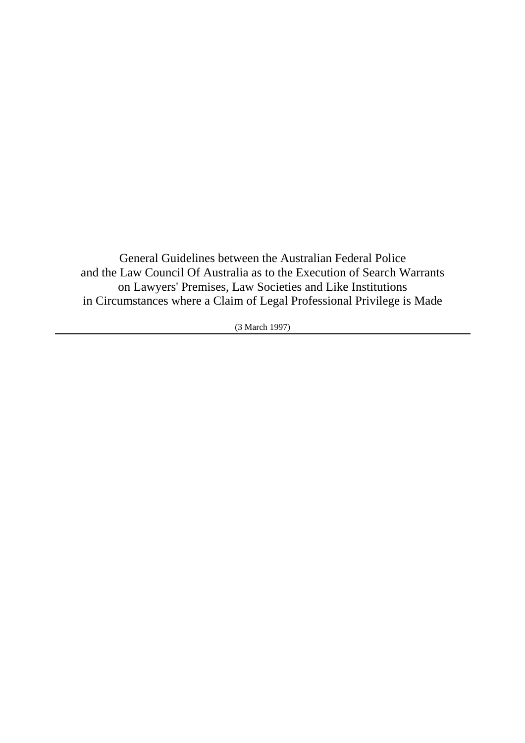General Guidelines between the Australian Federal Police and the Law Council Of Australia as to the Execution of Search Warrants on Lawyers' Premises, Law Societies and Like Institutions in Circumstances where a Claim of Legal Professional Privilege is Made

(3 March 1997)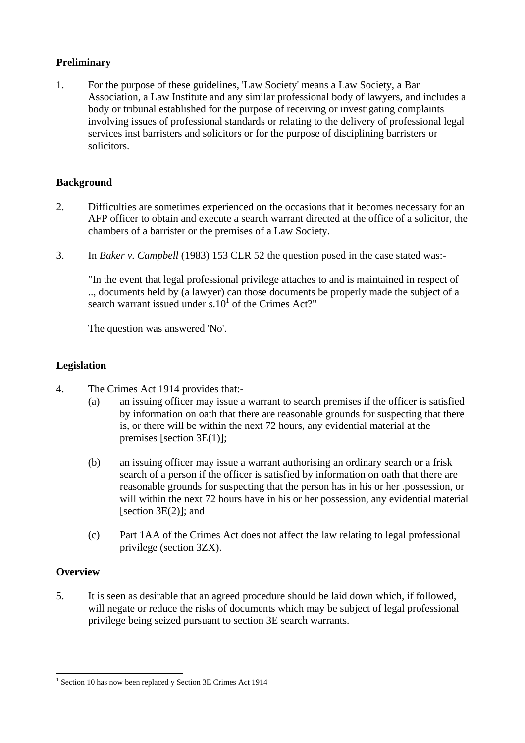# **Preliminary**

1. For the purpose of these guidelines, 'Law Society' means a Law Society, a Bar Association, a Law Institute and any similar professional body of lawyers, and includes a body or tribunal established for the purpose of receiving or investigating complaints involving issues of professional standards or relating to the delivery of professional legal services inst barristers and solicitors or for the purpose of disciplining barristers or solicitors.

#### **Background**

- 2. Difficulties are sometimes experienced on the occasions that it becomes necessary for an AFP officer to obtain and execute a search warrant directed at the office of a solicitor, the chambers of a barrister or the premises of a Law Society.
- 3. In *Baker v. Campbell* (1983) 153 CLR 52 the question posed in the case stated was:-

"In the event that legal professional privilege attaches to and is maintained in respect of .., documents held by (a lawyer) can those documents be properly made the subject of a search warrant issued under  $s.10<sup>1</sup>$  of the Crimes Act?"

The question was answered 'No'.

### **Legislation**

- 4. The Crimes Act 1914 provides that:-
	- (a) an issuing officer may issue a warrant to search premises if the officer is satisfied by information on oath that there are reasonable grounds for suspecting that there is, or there will be within the next 72 hours, any evidential material at the premises [section 3E(1)];
	- (b) an issuing officer may issue a warrant authorising an ordinary search or a frisk search of a person if the officer is satisfied by information on oath that there are reasonable grounds for suspecting that the person has in his or her .possession, or will within the next 72 hours have in his or her possession, any evidential material [section  $3E(2)$ ]; and
	- (c) Part 1AA of the Crimes Act does not affect the law relating to legal professional privilege (section 3ZX).

# **Overview**

5. It is seen as desirable that an agreed procedure should be laid down which, if followed, will negate or reduce the risks of documents which may be subject of legal professional privilege being seized pursuant to section 3E search warrants.

<span id="page-1-0"></span><sup>&</sup>lt;sup>1</sup> Section 10 has now been replaced y Section 3E Crimes Act 1914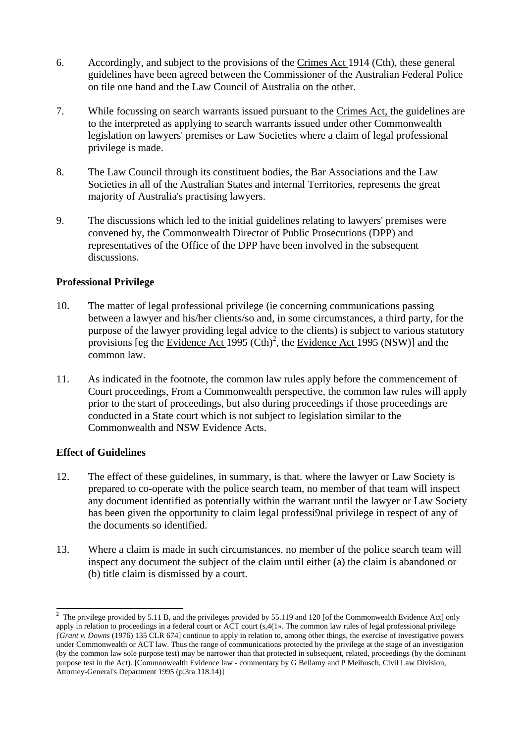- 6. Accordingly, and subject to the provisions of the Crimes Act 1914 (Cth), these general guidelines have been agreed between the Commissioner of the Australian Federal Police on tile one hand and the Law Council of Australia on the other.
- 7. While focussing on search warrants issued pursuant to the Crimes Act, the guidelines are to the interpreted as applying to search warrants issued under other Commonwealth legislation on lawyers' premises or Law Societies where a claim of legal professional privilege is made.
- 8. The Law Council through its constituent bodies, the Bar Associations and the Law Societies in all of the Australian States and internal Territories, represents the great majority of Australia's practising lawyers.
- 9. The discussions which led to the initial guidelines relating to lawyers' premises were convened by, the Commonwealth Director of Public Prosecutions (DPP) and representatives of the Office of the DPP have been involved in the subsequent discussions.

# **Professional Privilege**

- 10. The matter of legal professional privilege (ie concerning communications passing between a lawyer and his/her clients/so and, in some circumstances, a third party, for the purpose of the lawyer providing legal advice to the clients) is subject to various statutory provisions [eg the  $\overline{\text{Evidence Act}}$  1995 (Cth)<sup>2</sup>, the  $\overline{\text{Evidence Act}}$  1995 (NSW)] and the common law.
- 11. As indicated in the footnote, the common law rules apply before the commencement of Court proceedings, From a Commonwealth perspective, the common law rules will apply prior to the start of proceedings, but also during proceedings if those proceedings are conducted in a State court which is not subject to legislation similar to the Commonwealth and NSW Evidence Acts.

#### **Effect of Guidelines**

- 12. The effect of these guidelines, in summary, is that. where the lawyer or Law Society is prepared to co-operate with the police search team, no member of that team will inspect any document identified as potentially within the warrant until the lawyer or Law Society has been given the opportunity to claim legal professi9nal privilege in respect of any of the documents so identified.
- 13. Where a claim is made in such circumstances. no member of the police search team will inspect any document the subject of the claim until either (a) the claim is abandoned or (b) title claim is dismissed by a court.

<span id="page-2-0"></span><sup>&</sup>lt;sup>2</sup> The privilege provided by 5.11 B, and the privileges provided by 55.119 and 120 [of the Commonwealth Evidence Act] only apply in relation to proceedings in a federal court or ACT court  $(s, 4(1)$ . The common law rules of legal professional privilege *[Grant v. Downs* (1976) 135 CLR 674] continue to apply in relation to, among other things, the exercise of investigative powers under Commonwealth or ACT law. Thus the range of communications protected by the privilege at the stage of an investigation (by the common law sole purpose test) may be narrower than that protected in subsequent, related, proceedings (by the dominant purpose test in the Act). [Commonwealth Evidence law - commentary by G Bellamy and P Meibusch, Civil Law Division, Attorney-General's Department 1995 (p;3ra 118.14)]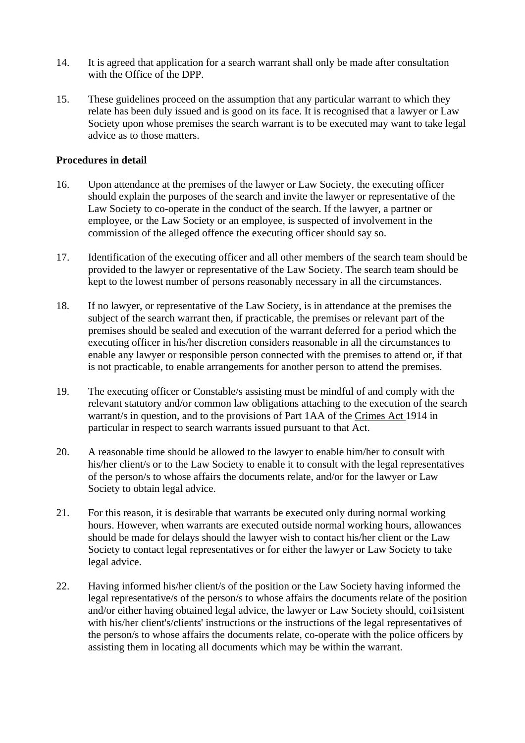- 14. It is agreed that application for a search warrant shall only be made after consultation with the Office of the DPP.
- 15. These guidelines proceed on the assumption that any particular warrant to which they relate has been duly issued and is good on its face. It is recognised that a lawyer or Law Society upon whose premises the search warrant is to be executed may want to take legal advice as to those matters.

#### **Procedures in detail**

- 16. Upon attendance at the premises of the lawyer or Law Society, the executing officer should explain the purposes of the search and invite the lawyer or representative of the Law Society to co-operate in the conduct of the search. If the lawyer, a partner or employee, or the Law Society or an employee, is suspected of involvement in the commission of the alleged offence the executing officer should say so.
- 17. Identification of the executing officer and all other members of the search team should be provided to the lawyer or representative of the Law Society. The search team should be kept to the lowest number of persons reasonably necessary in all the circumstances.
- 18. If no lawyer, or representative of the Law Society, is in attendance at the premises the subject of the search warrant then, if practicable, the premises or relevant part of the premises should be sealed and execution of the warrant deferred for a period which the executing officer in his/her discretion considers reasonable in all the circumstances to enable any lawyer or responsible person connected with the premises to attend or, if that is not practicable, to enable arrangements for another person to attend the premises.
- 19. The executing officer or Constable/s assisting must be mindful of and comply with the relevant statutory and/or common law obligations attaching to the execution of the search warrant/s in question, and to the provisions of Part 1AA of the Crimes Act 1914 in particular in respect to search warrants issued pursuant to that Act.
- 20. A reasonable time should be allowed to the lawyer to enable him/her to consult with his/her client/s or to the Law Society to enable it to consult with the legal representatives of the person/s to whose affairs the documents relate, and/or for the lawyer or Law Society to obtain legal advice.
- 21. For this reason, it is desirable that warrants be executed only during normal working hours. However, when warrants are executed outside normal working hours, allowances should be made for delays should the lawyer wish to contact his/her client or the Law Society to contact legal representatives or for either the lawyer or Law Society to take legal advice.
- 22. Having informed his/her client/s of the position or the Law Society having informed the legal representative/s of the person/s to whose affairs the documents relate of the position and/or either having obtained legal advice, the lawyer or Law Society should, coi1sistent with his/her client's/clients' instructions or the instructions of the legal representatives of the person/s to whose affairs the documents relate, co-operate with the police officers by assisting them in locating all documents which may be within the warrant.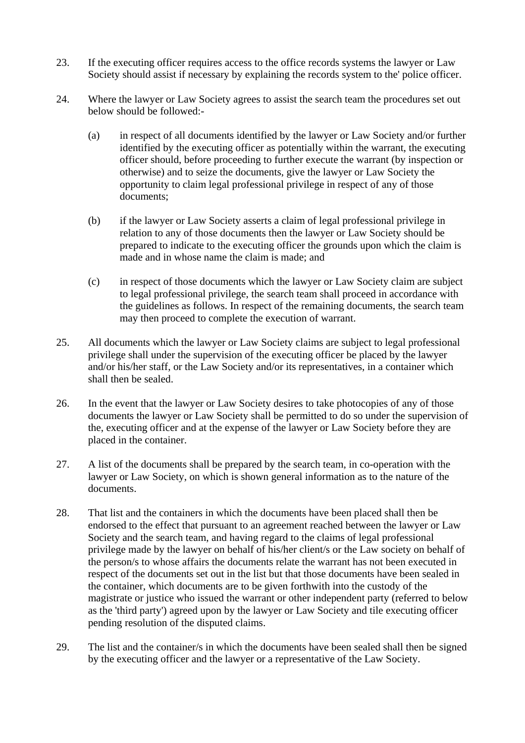- 23. If the executing officer requires access to the office records systems the lawyer or Law Society should assist if necessary by explaining the records system to the' police officer.
- 24. Where the lawyer or Law Society agrees to assist the search team the procedures set out below should be followed:-
	- (a) in respect of all documents identified by the lawyer or Law Society and/or further identified by the executing officer as potentially within the warrant, the executing officer should, before proceeding to further execute the warrant (by inspection or otherwise) and to seize the documents, give the lawyer or Law Society the opportunity to claim legal professional privilege in respect of any of those documents;
	- (b) if the lawyer or Law Society asserts a claim of legal professional privilege in relation to any of those documents then the lawyer or Law Society should be prepared to indicate to the executing officer the grounds upon which the claim is made and in whose name the claim is made; and
	- (c) in respect of those documents which the lawyer or Law Society claim are subject to legal professional privilege, the search team shall proceed in accordance with the guidelines as follows. In respect of the remaining documents, the search team may then proceed to complete the execution of warrant.
- 25. All documents which the lawyer or Law Society claims are subject to legal professional privilege shall under the supervision of the executing officer be placed by the lawyer and/or his/her staff, or the Law Society and/or its representatives, in a container which shall then be sealed.
- 26. In the event that the lawyer or Law Society desires to take photocopies of any of those documents the lawyer or Law Society shall be permitted to do so under the supervision of the, executing officer and at the expense of the lawyer or Law Society before they are placed in the container.
- 27. A list of the documents shall be prepared by the search team, in co-operation with the lawyer or Law Society, on which is shown general information as to the nature of the documents.
- 28. That list and the containers in which the documents have been placed shall then be endorsed to the effect that pursuant to an agreement reached between the lawyer or Law Society and the search team, and having regard to the claims of legal professional privilege made by the lawyer on behalf of his/her client/s or the Law society on behalf of the person/s to whose affairs the documents relate the warrant has not been executed in respect of the documents set out in the list but that those documents have been sealed in the container, which documents are to be given forthwith into the custody of the magistrate or justice who issued the warrant or other independent party (referred to below as the 'third party') agreed upon by the lawyer or Law Society and tile executing officer pending resolution of the disputed claims.
- 29. The list and the container/s in which the documents have been sealed shall then be signed by the executing officer and the lawyer or a representative of the Law Society.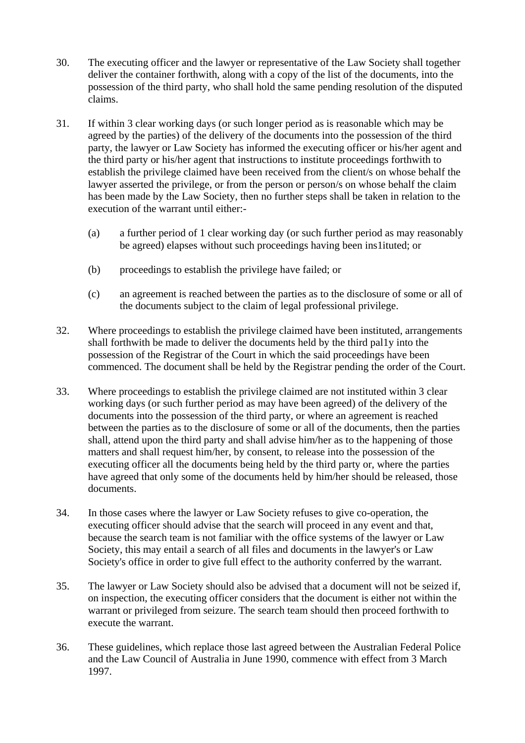- 30. The executing officer and the lawyer or representative of the Law Society shall together deliver the container forthwith, along with a copy of the list of the documents, into the possession of the third party, who shall hold the same pending resolution of the disputed claims.
- 31. If within 3 clear working days (or such longer period as is reasonable which may be agreed by the parties) of the delivery of the documents into the possession of the third party, the lawyer or Law Society has informed the executing officer or his/her agent and the third party or his/her agent that instructions to institute proceedings forthwith to establish the privilege claimed have been received from the client/s on whose behalf the lawyer asserted the privilege, or from the person or person/s on whose behalf the claim has been made by the Law Society, then no further steps shall be taken in relation to the execution of the warrant until either:-
	- (a) a further period of 1 clear working day (or such further period as may reasonably be agreed) elapses without such proceedings having been ins1ituted; or
	- (b) proceedings to establish the privilege have failed; or
	- (c) an agreement is reached between the parties as to the disclosure of some or all of the documents subject to the claim of legal professional privilege.
- 32. Where proceedings to establish the privilege claimed have been instituted, arrangements shall forthwith be made to deliver the documents held by the third pal1y into the possession of the Registrar of the Court in which the said proceedings have been commenced. The document shall be held by the Registrar pending the order of the Court.
- 33. Where proceedings to establish the privilege claimed are not instituted within 3 clear working days (or such further period as may have been agreed) of the delivery of the documents into the possession of the third party, or where an agreement is reached between the parties as to the disclosure of some or all of the documents, then the parties shall, attend upon the third party and shall advise him/her as to the happening of those matters and shall request him/her, by consent, to release into the possession of the executing officer all the documents being held by the third party or, where the parties have agreed that only some of the documents held by him/her should be released, those documents.
- 34. In those cases where the lawyer or Law Society refuses to give co-operation, the executing officer should advise that the search will proceed in any event and that, because the search team is not familiar with the office systems of the lawyer or Law Society, this may entail a search of all files and documents in the lawyer's or Law Society's office in order to give full effect to the authority conferred by the warrant.
- 35. The lawyer or Law Society should also be advised that a document will not be seized if, on inspection, the executing officer considers that the document is either not within the warrant or privileged from seizure. The search team should then proceed forthwith to execute the warrant.
- 36. These guidelines, which replace those last agreed between the Australian Federal Police and the Law Council of Australia in June 1990, commence with effect from 3 March 1997.